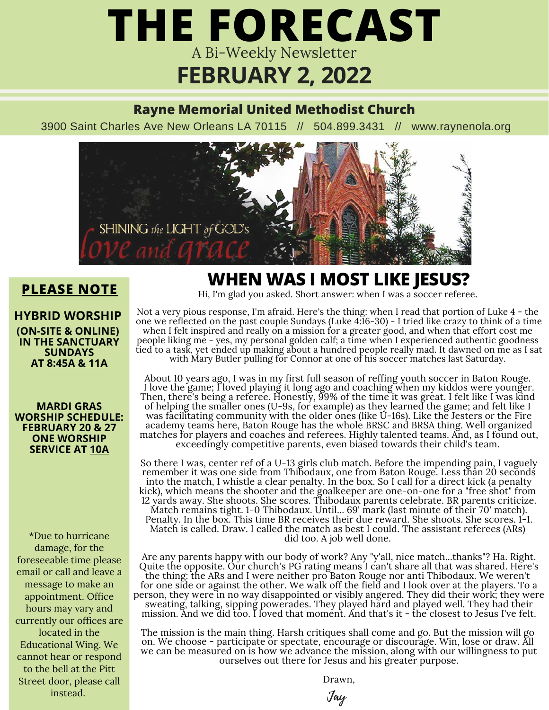## **FEBRUARY 2, 2022** A Bi-Weekly Newsletter **THE FORECAST**

#### **Rayne Memorial United Methodist Church**

3900 Saint Charles Ave New Orleans LA 70115 // 504.899.3431 // www.raynenola.org



**PLEASE NOTE** Hi, I'm glad you asked. Short answer: when I was a soccer referee. **WHEN WAS I MOST LIKE JESUS?**

#### **HYBRID WORSHIP**

**(ON-SITE & ONLINE) IN THE SANCTUARY SUNDAYS AT 8:45A & 11A**

#### **MARDI GRAS WORSHIP SCHEDULE: FEBRUARY 20 & 27 ONE WORSHIP SERVICE AT 10A**

\*Due to hurricane damage, for the foreseeable time please email or call and leave a message to make an appointment. Office hours may vary and currently our offices are located in the Educational Wing. We cannot hear or respond to the bell at the Pitt Street door, please call instead.

Not a very pious response, I'm afraid. Here's the thing: when I read that portion of Luke 4 - the one we reflected on the past couple Sundays (Luke 4:16-30) - I tried like crazy to think of a time when I felt inspired and really on a mission for a greater good, and when that effort cost me people liking me - yes, my personal golden calf; a time when I experienced authentic goodness tied to a task, yet ended up making about a hundred people really mad. It dawned on me as I sat with Mary Butler pulling for Connor at one of his soccer matches last Saturday.

About 10 years ago, I was in my first full season of reffing youth soccer in Baton Rouge. I love the game; I loved playing it long ago and coaching when my kiddos were younger. Then, there's being a referee. Honestly, 99% of the time it was great. I felt like I was kind of helping the smaller ones (U-9s, for example) as they learned the game; and felt like I was facilitating community with the older ones (like U-16s). Like the Jesters or the Fire academy teams here, Baton Rouge has the whole BRSC and BRSA thing. Well organized matches for players and coaches and referees. Highly talented teams. And, as I found out, exceedingly competitive parents, even biased towards their child's team.

So there I was, center ref of a U-13 girls club match. Before the impending pain, I vaguely remember it was one side from Thibodaux, one from Baton Rouge. Less than 20 seconds into the match, I whistle a clear penalty. In the box. So I call for a direct kick (a penalty kick), which means the shooter and the goalkeeper are one-on-one for a "free shot" from 12 yards away. She shoots. She scores. Thibodaux parents celebrate. BR parents criticize. Match remains tight. 1-0 Thibodaux. Until... 69' mark (last minute of their 70' match). Penalty. In the box. This time BR receives their due reward. She shoots. She scores. 1-1. Match is called. Draw. I called the match as best I could. The assistant referees (ARs) did too. A job well done.

Are any parents happy with our body of work? Any "y'all, nice match...thanks"? Ha. Right. Quite the opposite. Our church's PG rating means I can't share all that was shared. Here's the thing: the ARs and I were neither pro Baton Rouge nor anti Thibodaux. We weren't for one side or against the other. We walk off the field and I look over at the players. To a person, they were in no way disappointed or visibly angered. They did their work; they were sweating, talking, sipping powerades. They played hard and played well. They had their mission. And we did too. I loved that moment. And that's it - the closest to Jesus I've felt.

The mission is the main thing. Harsh critiques shall come and go. But the mission will go on. We choose - participate or spectate, encourage or discourage. Win, lose or draw. All we can be measured on is how we advance the mission, along with our willingness to put ourselves out there for Jesus and his greater purpose.

Drawn,

Jay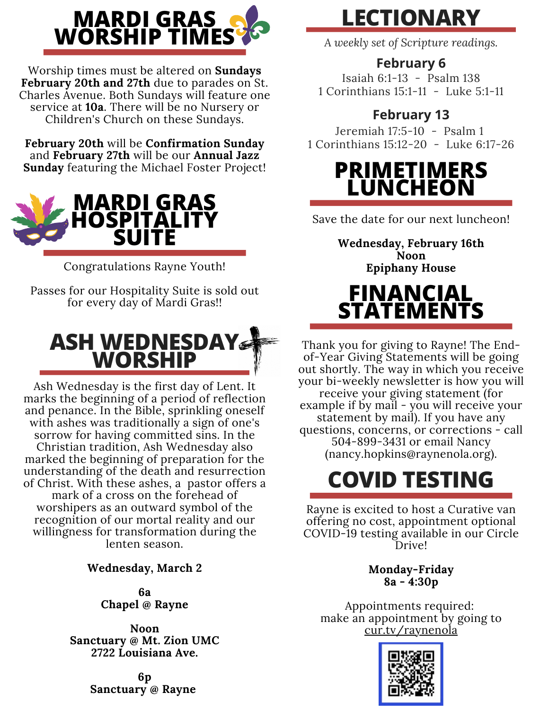

Worship times must be altered on **Sundays February 20th and 27th** due to parades on St. Charles Avenue. Both Sundays will feature one service at **10a**. There will be no Nursery or Children's Church on these Sundays.

**February 20th** will be **Confirmation Sunday** and **February 27th** will be our **Annual Jazz Sunday** featuring the Michael Foster Project!



Congratulations Rayne Youth!

Passes for our Hospitality Suite is sold out for every day of Mardi Gras!!



Ash Wednesday is the first day of Lent. It marks the beginning of a period of reflection and penance. In the Bible, sprinkling oneself with ashes was traditionally a sign of one's sorrow for having committed sins. In the Christian tradition, Ash Wednesday also marked the beginning of preparation for the understanding of the death and resurrection of Christ. With these ashes, a pastor offers a mark of a cross on the forehead of worshipers as an outward symbol of the recognition of our mortal reality and our willingness for transformation during the lenten season.

**Wednesday, March 2**

**6a Chapel @ Rayne**

**Noon Sanctuary @ Mt. Zion UMC 2722 Louisiana Ave.**

> **6p Sanctuary @ Rayne**

### **LECTIONARY**

*A weekly set of Scripture readings.*

### **February 6**

Isaiah 6:1-13 - Psalm 138 1 Corinthians 15:1-11 - [Luke](https://lectionary.library.vanderbilt.edu/texts.php?id=87#gospel_reading) 5:1-11

### **February 13**

Jeremiah 17:5-10 - Psalm 1 1 [Corinthians](https://lectionary.library.vanderbilt.edu/texts.php?id=88#epistle_reading) 15:12-20 - Luke 6:17-26

### **PRIMETIMERS LUNCHEON**

Save the date for our next luncheon!

**Wednesday, February 16th Noon Epiphany House**

### **FINANCIAL STATEMENTS**

Thank you for giving to Rayne! The Endof-Year Giving Statements will be going out shortly. The way in which you receive your bi-weekly newsletter is how you will receive your giving statement (for example if by mail - you will receive your statement by mail). If you have any questions, concerns, or corrections - call 504-899-3431 or email Nancy (nancy.hopkins@raynenola.org).

## **COVID TESTING**

Rayne is excited to host a Curative van offering no cost, appointment optional COVID-19 testing available in our Circle Drive!

> **Monday-Friday 8a - 4:30p**

Appointments required: make an appointment by going to cur.tv/raynenola

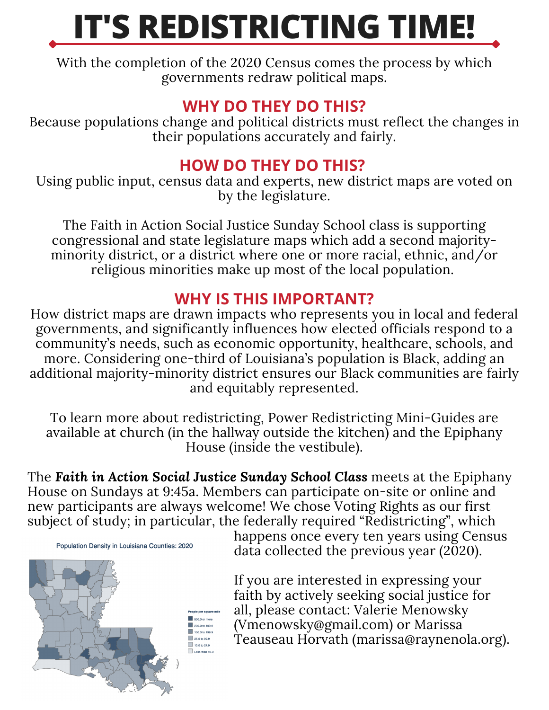# **IT'S REDISTRICTING TIME!**

With the completion of the 2020 Census comes the process by which governments redraw political maps.

### **WHY DO THEY DO THIS?**

Because populations change and political districts must reflect the changes in their populations accurately and fairly.

### **HOW DO THEY DO THIS?**

Using public input, census data and experts, new district maps are voted on by the legislature.

The Faith in Action Social Justice Sunday School class is supporting congressional and state legislature maps which add a second majorityminority district, or a district where one or more racial, ethnic, and/or religious minorities make up most of the local population.

### **WHY IS THIS IMPORTANT?**

How district maps are drawn impacts who represents you in local and federal governments, and significantly influences how elected officials respond to a community's needs, such as economic opportunity, healthcare, schools, and more. Considering one-third of Louisiana's population is Black, adding an additional majority-minority district ensures our Black communities are fairly and equitably represented.

To learn more about redistricting, Power Redistricting Mini-Guides are available at church (in the hallway outside the kitchen) and the Epiphany House (inside the vestibule).

The *Faith in Action Social Justice Sunday School Class* meets at the Epiphany House on Sundays at 9:45a. Members can participate on-site or online and new participants are always welcome! We chose Voting Rights as our first subject of study; in particular, the federally required "Redistricting", which

Population Density in Louisiana Counties: 2020



happens once every ten years using Census data collected the previous year (2020).

If you are interested in expressing your faith by actively seeking social justice for all, please contact: Valerie Menowsky (Vmenowsky@gmail.com) or Marissa Teauseau Horvath (marissa@raynenola.org).